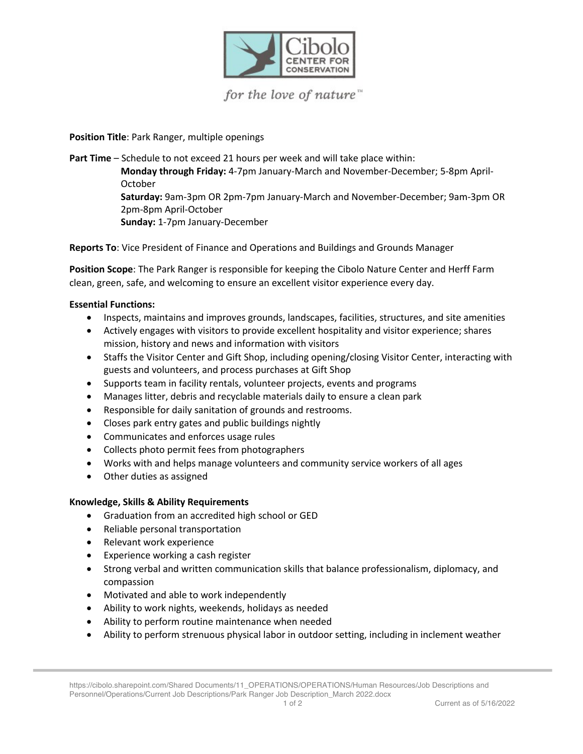

for the love of nature"

**Position Title**: Park Ranger, multiple openings

**Part Time** – Schedule to not exceed 21 hours per week and will take place within: **Monday through Friday:** 4-7pm January-March and November-December; 5-8pm April-October **Saturday:** 9am-3pm OR 2pm-7pm January-March and November-December; 9am-3pm OR 2pm-8pm April-October **Sunday:** 1-7pm January-December

**Reports To**: Vice President of Finance and Operations and Buildings and Grounds Manager

**Position Scope**: The Park Ranger is responsible for keeping the Cibolo Nature Center and Herff Farm clean, green, safe, and welcoming to ensure an excellent visitor experience every day.

## **Essential Functions:**

- Inspects, maintains and improves grounds, landscapes, facilities, structures, and site amenities
- Actively engages with visitors to provide excellent hospitality and visitor experience; shares mission, history and news and information with visitors
- Staffs the Visitor Center and Gift Shop, including opening/closing Visitor Center, interacting with guests and volunteers, and process purchases at Gift Shop
- Supports team in facility rentals, volunteer projects, events and programs
- Manages litter, debris and recyclable materials daily to ensure a clean park
- Responsible for daily sanitation of grounds and restrooms.
- Closes park entry gates and public buildings nightly
- Communicates and enforces usage rules
- Collects photo permit fees from photographers
- Works with and helps manage volunteers and community service workers of all ages
- Other duties as assigned

## **Knowledge, Skills & Ability Requirements**

- Graduation from an accredited high school or GED
- Reliable personal transportation
- Relevant work experience
- Experience working a cash register
- Strong verbal and written communication skills that balance professionalism, diplomacy, and compassion
- Motivated and able to work independently
- Ability to work nights, weekends, holidays as needed
- Ability to perform routine maintenance when needed
- Ability to perform strenuous physical labor in outdoor setting, including in inclement weather